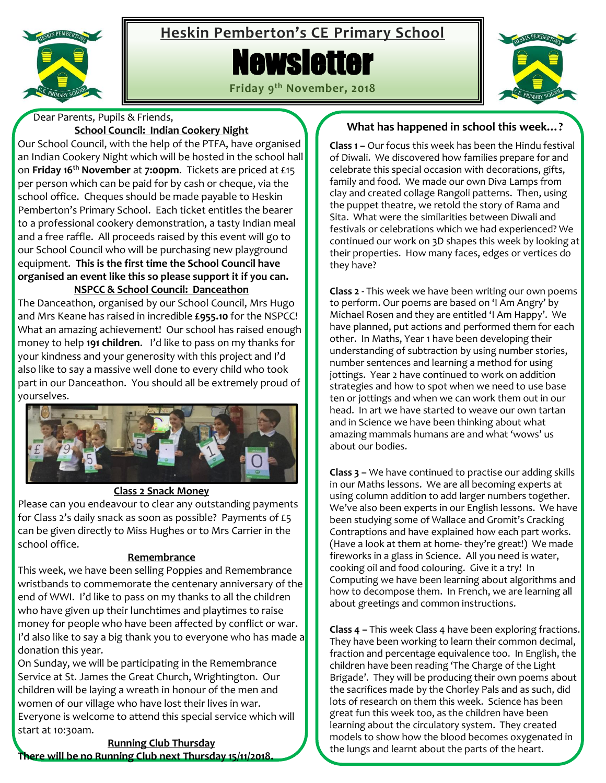

# **Heskin Pemberton's CE Primary School**

# **Newsletter**

**Friday 9 th November, 2018**



Dear Parents, Pupils & Friends,

## **School Council: Indian Cookery Night**

Our School Council, with the help of the PTFA, have organised an Indian Cookery Night which will be hosted in the school hall on **Friday 16th November** at **7:00pm**. Tickets are priced at £15 per person which can be paid for by cash or cheque, via the school office. Cheques should be made payable to Heskin Pemberton's Primary School. Each ticket entitles the bearer to a professional cookery demonstration, a tasty Indian meal and a free raffle. All proceeds raised by this event will go to our School Council who will be purchasing new playground equipment. **This is the first time the School Council have organised an event like this so please support it if you can. NSPCC & School Council: Danceathon**

The Danceathon, organised by our School Council, Mrs Hugo and Mrs Keane has raised in incredible **£955.10** for the NSPCC! What an amazing achievement! Our school has raised enough money to help **191 children**. I'd like to pass on my thanks for your kindness and your generosity with this project and I'd also like to say a massive well done to every child who took part in our Danceathon. You should all be extremely proud of yourselves.



## **Class 2 Snack Money**

Please can you endeavour to clear any outstanding payments for Class 2's daily snack as soon as possible? Payments of £5 can be given directly to Miss Hughes or to Mrs Carrier in the school office.

#### **Remembrance**

This week, we have been selling Poppies and Remembrance wristbands to commemorate the centenary anniversary of the end of WWI. I'd like to pass on my thanks to all the children who have given up their lunchtimes and playtimes to raise money for people who have been affected by conflict or war. I'd also like to say a big thank you to everyone who has made a donation this year.

On Sunday, we will be participating in the Remembrance Service at St. James the Great Church, Wrightington. Our children will be laying a wreath in honour of the men and women of our village who have lost their lives in war. Everyone is welcome to attend this special service which will start at 10:30am.

**Running Club Thursday There will be no Running Club next Thursday 15/11/2018.**

# **What has happened in school this week…?**

**Class 1 –** Our focus this week has been the Hindu festival of Diwali. We discovered how families prepare for and celebrate this special occasion with decorations, gifts, family and food. We made our own Diva Lamps from clay and created collage Rangoli patterns. Then, using the puppet theatre, we retold the story of Rama and Sita. What were the similarities between Diwali and festivals or celebrations which we had experienced? We continued our work on 3D shapes this week by looking at their properties. How many faces, edges or vertices do they have?

**Class 2 -** This week we have been writing our own poems to perform. Our poems are based on 'I Am Angry' by Michael Rosen and they are entitled 'I Am Happy'. We have planned, put actions and performed them for each other. In Maths, Year 1 have been developing their understanding of subtraction by using number stories, number sentences and learning a method for using jottings. Year 2 have continued to work on addition strategies and how to spot when we need to use base ten or jottings and when we can work them out in our head. In art we have started to weave our own tartan and in Science we have been thinking about what amazing mammals humans are and what 'wows' us about our bodies.

**Class 3 –** We have continued to practise our adding skills in our Maths lessons. We are all becoming experts at using column addition to add larger numbers together. We've also been experts in our English lessons. We have been studying some of Wallace and Gromit's Cracking Contraptions and have explained how each part works. (Have a look at them at home- they're great!) We made fireworks in a glass in Science. All you need is water, cooking oil and food colouring. Give it a try! In Computing we have been learning about algorithms and how to decompose them. In French, we are learning all about greetings and common instructions.

**Class 4 –** This week Class 4 have been exploring fractions. They have been working to learn their common decimal, fraction and percentage equivalence too. In English, the children have been reading 'The Charge of the Light Brigade'. They will be producing their own poems about the sacrifices made by the Chorley Pals and as such, did lots of research on them this week. Science has been great fun this week too, as the children have been learning about the circulatory system. They created models to show how the blood becomes oxygenated in the lungs and learnt about the parts of the heart.